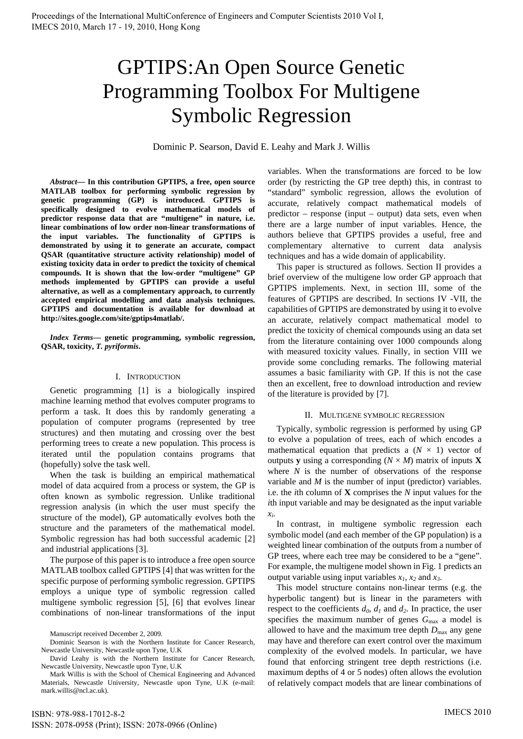# GPTIPS:An Open Source Genetic Programming Toolbox For Multigene Symbolic Regression

Dominic P. Searson, David E. Leahy and Mark J. Willis

*Abstract***— In this contribution GPTIPS, a free, open source MATLAB toolbox for performing symbolic regression by genetic programming (GP) is introduced. GPTIPS is specifically designed to evolve mathematical models of predictor response data that are "multigene" in nature, i.e. linear combinations of low order non-linear transformations of the input variables. The functionality of GPTIPS is demonstrated by using it to generate an accurate, compact QSAR (quantitative structure activity relationship) model of existing toxicity data in order to predict the toxicity of chemical compounds. It is shown that the low-order "multigene" GP methods implemented by GPTIPS can provide a useful alternative, as well as a complementary approach, to currently accepted empirical modelling and data analysis techniques. GPTIPS and documentation is available for download at http://sites.google.com/site/gptips4matlab/.** 

*Index Terms***— genetic programming, symbolic regression, QSAR, toxicity,** *T. pyriformis***.** 

## I. INTRODUCTION

Genetic programming [1] is a biologically inspired machine learning method that evolves computer programs to perform a task. It does this by randomly generating a population of computer programs (represented by tree structures) and then mutating and crossing over the best performing trees to create a new population. This process is iterated until the population contains programs that (hopefully) solve the task well.

When the task is building an empirical mathematical model of data acquired from a process or system, the GP is often known as symbolic regression. Unlike traditional regression analysis (in which the user must specify the structure of the model), GP automatically evolves both the structure and the parameters of the mathematical model. Symbolic regression has had both successful academic [2] and industrial applications [3].

The purpose of this paper is to introduce a free open source MATLAB toolbox called GPTIPS [4] that was written for the specific purpose of performing symbolic regression. GPTIPS employs a unique type of symbolic regression called multigene symbolic regression [5], [6] that evolves linear combinations of non-linear transformations of the input variables. When the transformations are forced to be low order (by restricting the GP tree depth) this, in contrast to "standard" symbolic regression, allows the evolution of accurate, relatively compact mathematical models of predictor – response (input – output) data sets, even when there are a large number of input variables. Hence, the authors believe that GPTIPS provides a useful, free and complementary alternative to current data analysis techniques and has a wide domain of applicability.

This paper is structured as follows. Section II provides a brief overview of the multigene low order GP approach that GPTIPS implements. Next, in section III, some of the features of GPTIPS are described. In sections IV -VII, the capabilities of GPTIPS are demonstrated by using it to evolve an accurate, relatively compact mathematical model to predict the toxicity of chemical compounds using an data set from the literature containing over 1000 compounds along with measured toxicity values. Finally, in section VIII we provide some concluding remarks. The following material assumes a basic familiarity with GP. If this is not the case then an excellent, free to download introduction and review of the literature is provided by [7].

#### II. MULTIGENE SYMBOLIC REGRESSION

Typically, symbolic regression is performed by using GP to evolve a population of trees, each of which encodes a mathematical equation that predicts a  $(N \times 1)$  vector of outputs **y** using a corresponding ( $N \times M$ ) matrix of inputs **X** where *N* is the number of observations of the response variable and *M* is the number of input (predictor) variables. i.e. the *i*th column of **X** comprises the *N* input values for the *i*th input variable and may be designated as the input variable *xi*.

In contrast, in multigene symbolic regression each symbolic model (and each member of the GP population) is a weighted linear combination of the outputs from a number of GP trees, where each tree may be considered to be a "gene". For example, the multigene model shown in Fig. 1 predicts an output variable using input variables  $x_1$ ,  $x_2$  and  $x_3$ .

This model structure contains non-linear terms (e.g. the hyperbolic tangent) but is linear in the parameters with respect to the coefficients  $d_0$ ,  $d_1$  and  $d_2$ . In practice, the user specifies the maximum number of genes  $G_{\text{max}}$  a model is allowed to have and the maximum tree depth  $D_{\text{max}}$  any gene may have and therefore can exert control over the maximum complexity of the evolved models. In particular, we have found that enforcing stringent tree depth restrictions (i.e. maximum depths of 4 or 5 nodes) often allows the evolution of relatively compact models that are linear combinations of

Manuscript received December 2, 2009.

Dominic Searson is with the Northern Institute for Cancer Research, Newcastle University, Newcastle upon Tyne, U.K

David Leahy is with the Northern Institute for Cancer Research, Newcastle University, Newcastle upon Tyne, U.K

Mark Willis is with the School of Chemical Engineering and Advanced Materials, Newcastle University, Newcastle upon Tyne, U.K (e-mail: mark.willis@ncl.ac.uk).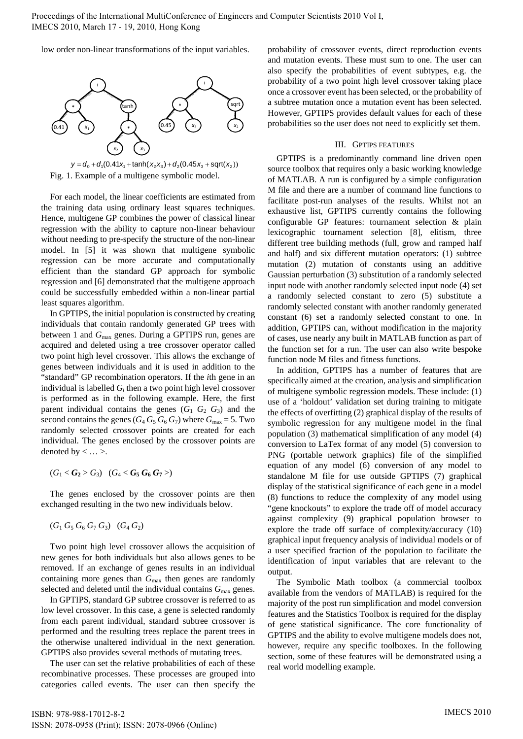Proceedings of the International MultiConference of Engineers and Computer Scientists 2010 Vol I, IMECS 2010, March 17 - 19, 2010, Hong Kong

low order non-linear transformations of the input variables.



 $y = d_0 + d_1(0.41x_1 + \tanh(x_2x_3) + d_2(0.45x_3 + \tsqrt{(x_2)})$ Fig. 1. Example of a multigene symbolic model.

For each model, the linear coefficients are estimated from the training data using ordinary least squares techniques. Hence, multigene GP combines the power of classical linear regression with the ability to capture non-linear behaviour without needing to pre-specify the structure of the non-linear model. In [5] it was shown that multigene symbolic regression can be more accurate and computationally efficient than the standard GP approach for symbolic regression and [6] demonstrated that the multigene approach could be successfully embedded within a non-linear partial least squares algorithm.

In GPTIPS, the initial population is constructed by creating individuals that contain randomly generated GP trees with between 1 and  $G_{\text{max}}$  genes. During a GPTIPS run, genes are acquired and deleted using a tree crossover operator called two point high level crossover. This allows the exchange of genes between individuals and it is used in addition to the "standard" GP recombination operators. If the *i*th gene in an individual is labelled  $G_i$  then a two point high level crossover is performed as in the following example. Here, the first parent individual contains the genes  $(G_1 \ G_2 \ G_3)$  and the second contains the genes ( $G_4 G_5 G_6 G_7$ ) where  $G_{\text{max}} = 5$ . Two randomly selected crossover points are created for each individual. The genes enclosed by the crossover points are denoted by  $\langle \dots \rangle$ .

 $(G_1 < G_2 > G_3)$   $(G_4 < G_5 G_6 G_7)$ 

The genes enclosed by the crossover points are then exchanged resulting in the two new individuals below.

$$
(G_1 G_5 G_6 G_7 G_3) (G_4 G_2)
$$

Two point high level crossover allows the acquisition of new genes for both individuals but also allows genes to be removed. If an exchange of genes results in an individual containing more genes than  $G_{\text{max}}$  then genes are randomly selected and deleted until the individual contains  $G_{\text{max}}$  genes.

In GPTIPS, standard GP subtree crossover is referred to as low level crossover. In this case, a gene is selected randomly from each parent individual, standard subtree crossover is performed and the resulting trees replace the parent trees in the otherwise unaltered individual in the next generation. GPTIPS also provides several methods of mutating trees.

The user can set the relative probabilities of each of these recombinative processes. These processes are grouped into categories called events. The user can then specify the

ISBN: 978-988-17012-8-2 ISSN: 2078-0958 (Print); ISSN: 2078-0966 (Online) probability of crossover events, direct reproduction events and mutation events. These must sum to one. The user can also specify the probabilities of event subtypes, e.g. the probability of a two point high level crossover taking place once a crossover event has been selected, or the probability of a subtree mutation once a mutation event has been selected. However, GPTIPS provides default values for each of these probabilities so the user does not need to explicitly set them.

#### III. GPTIPS FEATURES

GPTIPS is a predominantly command line driven open source toolbox that requires only a basic working knowledge of MATLAB. A run is configured by a simple configuration M file and there are a number of command line functions to facilitate post-run analyses of the results. Whilst not an exhaustive list, GPTIPS currently contains the following configurable GP features: tournament selection & plain lexicographic tournament selection [8], elitism, three different tree building methods (full, grow and ramped half and half) and six different mutation operators: (1) subtree mutation (2) mutation of constants using an additive Gaussian perturbation (3) substitution of a randomly selected input node with another randomly selected input node (4) set a randomly selected constant to zero (5) substitute a randomly selected constant with another randomly generated constant (6) set a randomly selected constant to one. In addition, GPTIPS can, without modification in the majority of cases, use nearly any built in MATLAB function as part of the function set for a run. The user can also write bespoke function node M files and fitness functions.

In addition, GPTIPS has a number of features that are specifically aimed at the creation, analysis and simplification of multigene symbolic regression models. These include: (1) use of a 'holdout' validation set during training to mitigate the effects of overfitting (2) graphical display of the results of symbolic regression for any multigene model in the final population (3) mathematical simplification of any model (4) conversion to LaTex format of any model (5) conversion to PNG (portable network graphics) file of the simplified equation of any model (6) conversion of any model to standalone M file for use outside GPTIPS (7) graphical display of the statistical significance of each gene in a model (8) functions to reduce the complexity of any model using "gene knockouts" to explore the trade off of model accuracy against complexity (9) graphical population browser to explore the trade off surface of complexity/accuracy (10) graphical input frequency analysis of individual models or of a user specified fraction of the population to facilitate the identification of input variables that are relevant to the output.

The Symbolic Math toolbox (a commercial toolbox available from the vendors of MATLAB) is required for the majority of the post run simplification and model conversion features and the Statistics Toolbox is required for the display of gene statistical significance. The core functionality of GPTIPS and the ability to evolve multigene models does not, however, require any specific toolboxes. In the following section, some of these features will be demonstrated using a real world modelling example.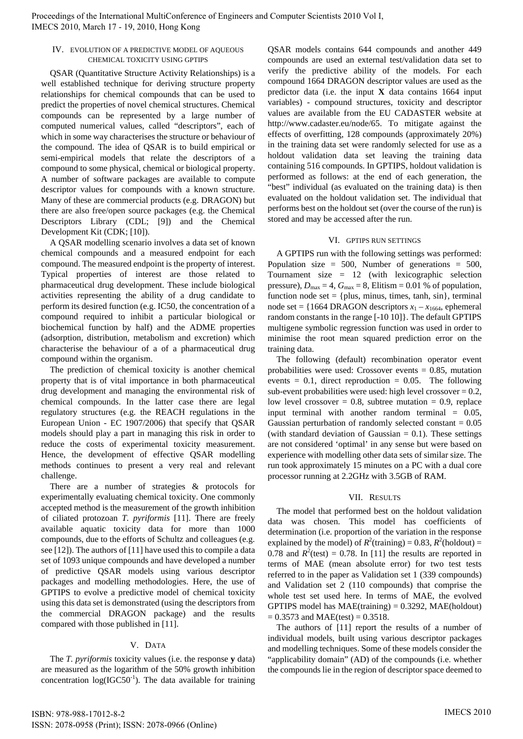Proceedings of the International MultiConference of Engineers and Computer Scientists 2010 Vol I, IMECS 2010, March 17 - 19, 2010, Hong Kong

## IV. EVOLUTION OF A PREDICTIVE MODEL OF AQUEOUS CHEMICAL TOXICITY USING GPTIPS

QSAR (Quantitative Structure Activity Relationships) is a well established technique for deriving structure property relationships for chemical compounds that can be used to predict the properties of novel chemical structures. Chemical compounds can be represented by a large number of computed numerical values, called "descriptors", each of which in some way characterises the structure or behaviour of the compound. The idea of QSAR is to build empirical or semi-empirical models that relate the descriptors of a compound to some physical, chemical or biological property. A number of software packages are available to compute descriptor values for compounds with a known structure. Many of these are commercial products (e.g. DRAGON) but there are also free/open source packages (e.g. the Chemical Descriptors Library (CDL; [9]) and the Chemical Development Kit (CDK; [10]).

A QSAR modelling scenario involves a data set of known chemical compounds and a measured endpoint for each compound. The measured endpoint is the property of interest. Typical properties of interest are those related to pharmaceutical drug development. These include biological activities representing the ability of a drug candidate to perform its desired function (e.g. IC50, the concentration of a compound required to inhibit a particular biological or biochemical function by half) and the ADME properties (adsorption, distribution, metabolism and excretion) which characterise the behaviour of a of a pharmaceutical drug compound within the organism.

The prediction of chemical toxicity is another chemical property that is of vital importance in both pharmaceutical drug development and managing the environmental risk of chemical compounds. In the latter case there are legal regulatory structures (e.g. the REACH regulations in the European Union - EC 1907/2006) that specify that QSAR models should play a part in managing this risk in order to reduce the costs of experimental toxicity measurement. Hence, the development of effective QSAR modelling methods continues to present a very real and relevant challenge.

There are a number of strategies & protocols for experimentally evaluating chemical toxicity. One commonly accepted method is the measurement of the growth inhibition of ciliated protozoan *T. pyriformis* [11]. There are freely available aquatic toxicity data for more than 1000 compounds, due to the efforts of Schultz and colleagues (e.g. see [12]). The authors of [11] have used this to compile a data set of 1093 unique compounds and have developed a number of predictive QSAR models using various descriptor packages and modelling methodologies. Here, the use of GPTIPS to evolve a predictive model of chemical toxicity using this data set is demonstrated (using the descriptors from the commercial DRAGON package) and the results compared with those published in [11].

# V. DATA

The *T. pyriformis* toxicity values (i.e. the response **y** data) are measured as the logarithm of the 50% growth inhibition concentration  $log(IGC50^{-1})$ . The data available for training

ISBN: 978-988-17012-8-2 ISSN: 2078-0958 (Print); ISSN: 2078-0966 (Online)

QSAR models contains 644 compounds and another 449 compounds are used an external test/validation data set to verify the predictive ability of the models. For each compound 1664 DRAGON descriptor values are used as the predictor data (i.e. the input **X** data contains 1664 input variables) - compound structures, toxicity and descriptor values are available from the EU CADASTER website at http://www.cadaster.eu/node/65. To mitigate against the effects of overfitting, 128 compounds (approximately 20%) in the training data set were randomly selected for use as a holdout validation data set leaving the training data containing 516 compounds. In GPTIPS, holdout validation is performed as follows: at the end of each generation, the "best" individual (as evaluated on the training data) is then evaluated on the holdout validation set. The individual that performs best on the holdout set (over the course of the run) is stored and may be accessed after the run.

## VI. GPTIPS RUN SETTINGS

A GPTIPS run with the following settings was performed: Population size =  $500$ , Number of generations =  $500$ , Tournament size  $= 12$  (with lexicographic selection pressure),  $D_{\text{max}} = 4$ ,  $G_{\text{max}} = 8$ , Elitism = 0.01 % of population, function node set = {plus, minus, times, tanh, sin}, terminal node set = {1664 DRAGON descriptors  $x_1 - x_{1664}$ , ephemeral random constants in the range [-10 10]}. The default GPTIPS multigene symbolic regression function was used in order to minimise the root mean squared prediction error on the training data.

The following (default) recombination operator event probabilities were used: Crossover events  $= 0.85$ , mutation events  $= 0.1$ , direct reproduction  $= 0.05$ . The following sub-event probabilities were used: high level crossover  $= 0.2$ , low level crossover  $= 0.8$ , subtree mutation  $= 0.9$ , replace input terminal with another random terminal  $= 0.05$ , Gaussian perturbation of randomly selected constant  $= 0.05$ (with standard deviation of Gaussian  $= 0.1$ ). These settings are not considered 'optimal' in any sense but were based on experience with modelling other data sets of similar size. The run took approximately 15 minutes on a PC with a dual core processor running at 2.2GHz with 3.5GB of RAM.

## VII. RESULTS

The model that performed best on the holdout validation data was chosen. This model has coefficients of determination (i.e. proportion of the variation in the response explained by the model) of  $R^2$ (training) = 0.83,  $R^2$ (holdout) = 0.78 and  $R^2$ (test) = 0.78. In [11] the results are reported in terms of MAE (mean absolute error) for two test tests referred to in the paper as Validation set 1 (339 compounds) and Validation set 2 (110 compounds) that comprise the whole test set used here. In terms of MAE, the evolved GPTIPS model has  $MAE(training) = 0.3292$ ,  $MAE(holdout)$  $= 0.3573$  and MAE(test) = 0.3518.

The authors of [11] report the results of a number of individual models, built using various descriptor packages and modelling techniques. Some of these models consider the "applicability domain" (AD) of the compounds (i.e. whether the compounds lie in the region of descriptor space deemed to